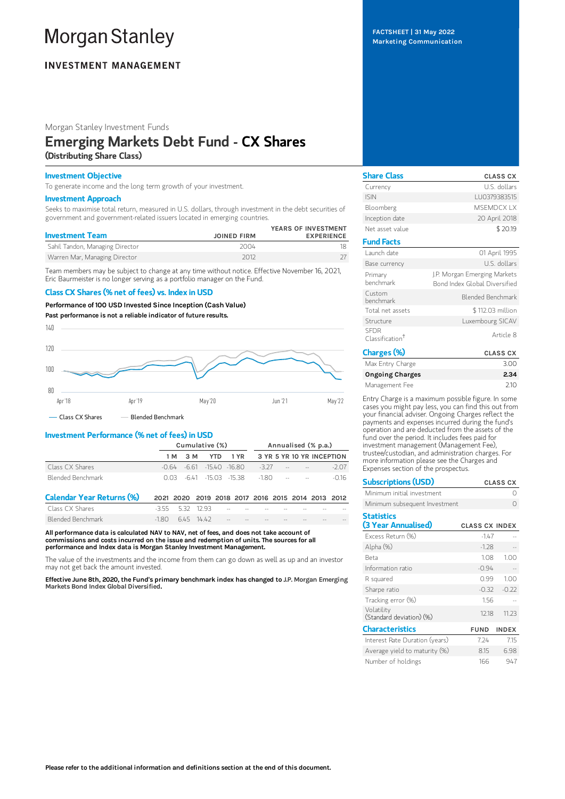# **Morgan Stanley**

# **INVESTMENT MANAGEMENT**

Morgan Stanley Investment Funds

# Emerging Markets Debt Fund - CX Shares (Distributing Share Class)

## Investment Objective

To generate income and the long term growth of your investment.

### Investment Approach

Seeks to maximise total return, measured in U.S. dollars, through investment in the debt securities of government and government-related issuers located in emerging countries.

| <b>Investment Team</b>          | <b>JOINED FIRM</b> | YEARS OF INVESTMENT<br><b>EXPERIENCE</b> |
|---------------------------------|--------------------|------------------------------------------|
| Sahil Tandon, Managing Director | 2004               |                                          |
| Warren Mar, Managing Director   | 2012               |                                          |

Team members may be subject to change at any time without notice. Effective November 16, 2021, Eric Baurmeister is no longer serving as a portfolio manager on the Fund.

## Class CX Shares (% net of fees) vs. Index in USD

## Performance of 100 USD Invested Since Inception (Cash Value)



Class CX Shares Blended Benchmark

## Investment Performance (% net of fees) in USD

|                   | Cumulative (%) |  |  |  |                                               |  | Annualised (% p.a.)                  |
|-------------------|----------------|--|--|--|-----------------------------------------------|--|--------------------------------------|
|                   |                |  |  |  |                                               |  | 1M 3M YTD 1YR 3YR 5YR 10YR INCEPTION |
| Class CX Shares   |                |  |  |  | $-0.64$ $-6.61$ $-1540$ $-16.80$ $-3.27$ $ -$ |  | $-207$                               |
| Blended Benchmark |                |  |  |  | $0.03 - 641 - 15.03 - 15.38 - 180$            |  | -016                                 |

| Calendar Year Returns (%) | 2021 2020 2019 2018 2017 2016 2015 2014 2013 2012 |  |  |  |     |      |
|---------------------------|---------------------------------------------------|--|--|--|-----|------|
| Class CX Shares           |                                                   |  |  |  | $-$ | $ -$ |
| Blended Benchmark         | $-1.80$ 6.45 14.42 - - - - -                      |  |  |  | $-$ | $-1$ |

All performance data is calculated NAV to NAV, net of fees, and does not take account of commissions and costs incurred on the issue and redemption of units. The sources for all performance and Index data is Morgan Stanley Investment Management.

The value of the investments and the income from them can go down as well as up and an investor may not get back the amount invested.

Effective June 8th, 2020, the Fund's primary benchmark index has changed to J.P. Morgan Emerging Markets Bond Index Global Diversified.

FACTSHEET | 31 May 2022 Marketing Communication

| <b>Share Class</b>                         | <b>CLASS CX</b>                                               |
|--------------------------------------------|---------------------------------------------------------------|
| Currency                                   | U.S. dollars                                                  |
| <b>ISIN</b>                                | LU0379383515                                                  |
| Bloomberg                                  | <b>MSEMDCXIX</b>                                              |
| Inception date                             | 20 April 2018                                                 |
| Net asset value                            | \$20.19                                                       |
| <b>Fund Facts</b>                          |                                                               |
| Launch date                                | 01 April 1995                                                 |
| Base currency                              | U.S. dollars                                                  |
| Primary<br>henchmark                       | J.P. Morgan Emerging Markets<br>Bond Index Global Diversified |
| Custom<br>henchmark                        | Blended Benchmark                                             |
| Total net assets                           | \$112.03 million                                              |
| Structure                                  | Luxembourg SICAV                                              |
| <b>SFDR</b><br>Classification <sup>†</sup> | Article 8                                                     |
| Charges (%)                                | CLASS CX                                                      |

| Charges (%)            | <b>CLASS CX</b> |
|------------------------|-----------------|
| Max Entry Charge       | 3.00            |
| <b>Ongoing Charges</b> | 2.34            |
| Management Fee         | 210             |

Entry Charge is a maximum possible figure. In some cases you might pay less, you can find this out from your financial adviser. Ongoing Charges reflect the payments and expenses incurred during the fund's operation and are deducted from the assets of the fund over the period. It includes fees paid for investment management (Management Fee), trustee/custodian, and administration charges. For more information please see the Charges and Expenses section of the prospectus.

| <b>Subscriptions (USD)</b>               |                       | <b>CLASS CX</b> |
|------------------------------------------|-----------------------|-----------------|
| Minimum initial investment               |                       | ∩               |
| Minimum subsequent Investment            |                       |                 |
| <b>Statistics</b><br>(3 Year Annualised) | <b>CLASS CX INDEX</b> |                 |
| Excess Return (%)                        | $-1.47$               |                 |
| Alpha (%)                                | $-1.28$               |                 |
| Reta                                     | 1.08                  | 1.00            |
| Information ratio                        | $-0.94$               |                 |
| R squared                                | 0.99                  | 1.00            |
| Sharpe ratio                             | $-0.32$               | $-0.22$         |
| Tracking error (%)                       | 1.56                  |                 |
| Volatility<br>(Standard deviation) (%)   | 12.18                 | 11.23           |
| <b>Characteristics</b>                   | <b>FUND</b>           | <b>INDEX</b>    |
| Interest Rate Duration (years)           | 7.24                  | 7.15            |
| Average yield to maturity (%)            | 8.15                  | 6.98            |
| Number of holdings                       | 166                   | 947             |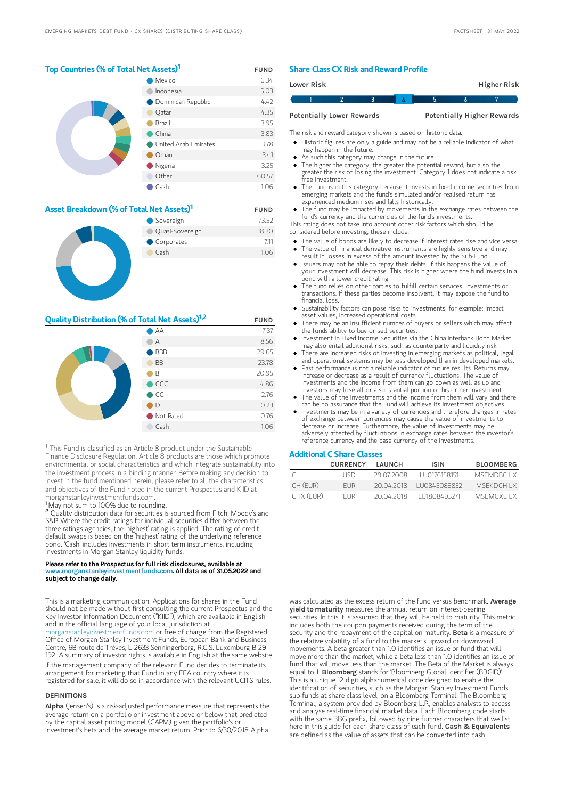## Top Countries (% of Total Net Assets)<sup>1</sup> FUND

|  |                             | Mexico               | 6.34 |
|--|-----------------------------|----------------------|------|
|  |                             | Indonesia            | 5.03 |
|  | <b>O</b> Dominican Republic | 4.42                 |      |
|  | Qatar                       | 4.35                 |      |
|  | Brazil                      | 3.95                 |      |
|  | China                       | 3.83                 |      |
|  |                             | United Arab Emirates | 3.78 |
|  | Oman                        | 3.41                 |      |
|  | Nigeria                     | 3.25                 |      |
|  | Other                       | 60.57                |      |
|  |                             | Cash                 | 1.06 |
|  |                             |                      |      |

| Asset Breakdown (% of Total Net Assets) <sup>1</sup> | <b>FUND</b>     |       |
|------------------------------------------------------|-----------------|-------|
|                                                      | Sovereign       | 73.52 |
|                                                      | Quasi-Sovereign | 18.30 |
|                                                      | Corporates      | 7.11  |
|                                                      | Cash            | 1.06  |
|                                                      |                 |       |

## **Quality Distribution (% of Total Net Assets)**<sup>1,2</sup> FUND

|  | $\bigcirc$ AA    | 7.37  |
|--|------------------|-------|
|  | А                | 8.56  |
|  | $\bigcirc$ BBB   | 29.65 |
|  | <b>BB</b>        | 23.78 |
|  | $\blacksquare$ B | 20.95 |
|  | $\bullet$ CCC    | 4.86  |
|  | $\bullet$ CC     | 2.76  |
|  | $\Box$ D         | 0.23  |
|  | Not Rated        | 0.76  |
|  | Cash             | 1.06  |

<sup>†</sup> This Fund is classified as an Article 8 product under the Sustainable Finance Disclosure Regulation. Article 8 products are those which promote environmental or social characteristics and which integrate sustainability into the investment process in a binding manner. Before making any decision to invest in the fund mentioned herein, please refer to all the characteristics and objectives of the Fund noted in the current Prospectus and KIID at morganstanleyinvestmentfunds.com.

<sup>1</sup>May not sum to 100% due to rounding.

<sup>2</sup> Quality distribution data for securities is sourced from Fitch, Moody's and S&P. Where the credit ratings for individual securities differ between the three ratings agencies, the 'highest' rating is applied. The rating of credit default swaps is based on the 'highest' rating of the underlying reference bond. 'Cash' includes investments in short term instruments, including investments in Morgan Stanley liquidity funds.

#### Please refer to the Prospectus for full risk disclosures, available at www.morganstanleyinvestmentfunds.com. All data as of 31.05.2022 and **subject to change daily.**

This is a marketing communication. Applications for shares in the Fund should not be made without first consulting the current Prospectus and the Key Investor Information Document ("KIID"), which are available in English and in the official language of your local jurisdiction at

[morganstanleyinvestmentfunds.com](https://www.morganstanley.com/im/msinvf/index.html) or free of charge from the Registered Office of Morgan Stanley Investment Funds, European Bank and Business Centre, 6B route de Trèves, L-2633 Senningerberg, R.C.S. Luxemburg B 29 192. A summary of investor rights is available in English at the same website.

If the management company of the relevant Fund decides to terminate its arrangement for marketing that Fund in any EEA country where it is registered for sale, it will do so in accordance with the relevant UCITS rules.

## DEFINITIONS

Alpha (Jensen's) is a risk-adjusted performance measure that represents the average return on a portfolio or investment above or below that predicted by the capital asset pricing model (CAPM) given the portfolio's or investment's beta and the average market return. Prior to 6/30/2018 Alpha

## Share Class CX Risk and Reward Profile

| Lower Risk |                                  |  |   | Higher Risk                       |
|------------|----------------------------------|--|---|-----------------------------------|
|            |                                  |  | h |                                   |
|            | <b>Potentially Lower Rewards</b> |  |   | <b>Potentially Higher Rewards</b> |

The risk and reward category shown is based on historic data.

- Historic figures are only a guide and may not be a reliable indicator of what may happen in the future.
- As such this category may change in the future.
- The higher the category, the greater the potential reward, but also the greater the risk of losing the investment. Category 1 does not indicate a risk free investment.
- The fund is in this category because it invests in fixed income securities from emerging markets and the fund's simulated and/or realised return has experienced medium rises and falls historically.
- The fund may be impacted by movements in the exchange rates between the fund's currency and the currencies of the fund's investments.

This rating does not take into account other risk factors which should be considered before investing, these include:

- The value of bonds are likely to decrease if interest rates rise and vice versa.
- The value of financial derivative instruments are highly sensitive and may result in losses in excess of the amount invested by the Sub-Fund. Issuers may not be able to repay their debts, if this happens the value of
- your investment will decrease. This risk is higher where the fund invests in a bond with a lower credit rating.
- The fund relies on other parties to fulfill certain services, investments or transactions. If these parties become insolvent, it may expose the fund to financial loss.
- Sustainability factors can pose risks to investments, for example: impact asset values, increased operational costs.
- There may be an insufficient number of buyers or sellers which may affect the funds ability to buy or sell securities.
- Investment in Fixed Income Securities via the China Interbank Bond Market may also entail additional risks, such as counterparty and liquidity risk.  $\bullet$
- There are increased risks of investing in emerging markets as political, legal and operational systems may be less developed than in developed markets. Past performance is not a reliable indicator of future results. Returns may
- increase or decrease as a result of currency fluctuations. The value of investments and the income from them can go down as well as up and investors may lose all or a substantial portion of his or her investment. The value of the investments and the income from them will vary and there
- can be no assurance that the Fund will achieve its investment objectives.
- Investments may be in a variety of currencies and therefore changes in rates of exchange between currencies may cause the value of investments to decrease or increase. Furthermore, the value of investments may be adversely affected by fluctuations in exchange rates between the investor's reference currency and the base currency of the investments.

## Additional C Share Classes

|           | <b>CURRENCY</b> | LAUNCH      | <b>ISIN</b>   | <b>BLOOMBERG</b> |
|-----------|-----------------|-------------|---------------|------------------|
| C.        | LISD.           | -29.07.2008 | LU0176158151  | MSEMDBC LX       |
| CH (FUR)  | FUR.            | 20.04.2018  | LU0845089852  | <b>MSEKDCHIX</b> |
| CHX (FUR) | FI IR           | 20.04.2018  | 1111808493271 | MSEMCXE I X      |

was calculated as the excess return of the fund versus benchmark. Average yield to maturity measures the annual return on interest-bearing securities. In this it is assumed that they will be held to maturity. This metric includes both the coupon payments received during the term of the security and the repayment of the capital on maturity. Beta is a measure of the relative volatility of a fund to the market's upward or downward movements. A beta greater than 1.0 identifies an issue or fund that will move more than the market, while a beta less than 1.0 identifies an issue or fund that will move less than the market. The Beta of the Market is always equal to 1. **Bloomberg** stands for 'Bloomberg Global Identifier (BBGID)'. This is a unique 12 digit alphanumerical code designed to enable the identification of securities, such as the Morgan Stanley Investment Funds sub-funds at share class level, on a Bloomberg Terminal. The Bloomberg Terminal, a system provided by Bloomberg L.P., enables analysts to access and analyse real-time financial market data. Each Bloomberg code starts with the same BBG prefix, followed by nine further characters that we list here in this guide for each share class of each fund. Cash & Equivalents are defined as the value of assets that can be converted into cash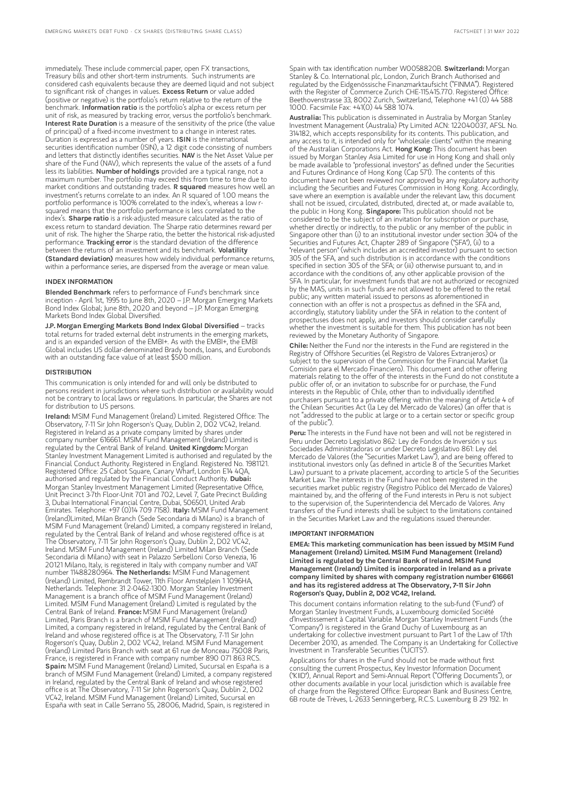immediately. These include commercial paper, open FX transactions, Treasury bills and other short-term instruments. Such instruments are considered cash equivalents because they are deemed liquid and not subject to significant risk of changes in values. Excess Return or value added (positive or negative) is the portfolio's return relative to the return of the benchmark. Information ratio is the portfolio's alpha or excess return per unit of risk, as measured by tracking error, versus the portfolio's benchmark. Interest Rate Duration is a measure of the sensitivity of the price (the value of principal) of a fixed-income investment to a change in interest rates. Duration is expressed as a number of years. ISIN is the international securities identification number (ISIN), a 12 digit code consisting of numbers and letters that distinctly identifies securities. NAV is the Net Asset Value per share of the Fund (NAV), which represents the value of the assets of a fund less its liabilities. Number of holdings provided are a typical range, not a maximum number. The portfolio may exceed this from time to time due to market conditions and outstanding trades. R squared measures how well an investment's returns correlate to an index. An R squared of 1.00 means the portfolio performance is 100% correlated to the index's, whereas a low rsquared means that the portfolio performance is less correlated to the index's. Sharpe ratio is a risk-adjusted measure calculated as the ratio of excess return to standard deviation. The Sharpe ratio determines reward per unit of risk. The higher the Sharpe ratio, the better the historical risk-adjusted performance. Tracking error is the standard deviation of the difference between the returns of an investment and its benchmark. Volatility (Standard deviation) measures how widely individual performance returns, within a performance series, are dispersed from the average or mean value.

## INDEX INFORMATION

Blended Benchmark refers to performance of Fund's benchmark since inception - April 1st, 1995 to June 8th, 2020 – J.P. Morgan Emerging Markets Bond Index Global; June 8th, 2020 and beyond – J.P. Morgan Emerging Markets Bond Index Global Diversified.

J.P. Morgan Emerging Markets Bond Index Global Diversified – tracks total returns for traded external debt instruments in the emerging markets, and is an expanded version of the EMBI+. As with the EMBI+, the EMBI Global includes US dollar-denominated Brady bonds, loans, and Eurobonds with an outstanding face value of at least \$500 million.

## **DISTRIBUTION**

This communication is only intended for and will only be distributed to persons resident in jurisdictions where such distribution or availability would not be contrary to local laws or regulations. In particular, the Shares are not for distribution to US persons.

Ireland: MSIM Fund Management (Ireland) Limited. Registered Office: The Observatory, 7-11 Sir John Rogerson's Quay, Dublin 2, D02 VC42, Ireland. Registered in Ireland as a private company limited by shares under company number 616661. MSIM Fund Management (Ireland) Limited is regulated by the Central Bank of Ireland. United Kingdom: Morgan Stanley Investment Management Limited is authorised and regulated by the Financial Conduct Authority. Registered in England. Registered No. 1981121. Registered Office: 25 Cabot Square, Canary Wharf, London E14 4QA, authorised and regulated by the Financial Conduct Authority. Dubai: Morgan Stanley Investment Management Limited (Representative Office, Unit Precinct 3-7th Floor-Unit 701 and 702, Level 7, Gate Precinct Building 3, Dubai International Financial Centre, Dubai, 506501, United Arab Emirates. Telephone: +97 (0)14 709 7158). Italy: MSIM Fund Management (Ireland)Limited, Milan Branch (Sede Secondaria di Milano) is a branch of MSIM Fund Management (Ireland) Limited, a company registered in Ireland, regulated by the Central Bank of Ireland and whose registered office is at The Observatory, 7-11 Sir John Rogerson's Quay, Dublin 2, D02 VC42, Ireland. MSIM Fund Management (Ireland) Limited Milan Branch (Sede Secondaria di Milano) with seat in Palazzo Serbelloni Corso Venezia, 16 20121 Milano, Italy, is registered in Italy with company number and VAT number 11488280964. The Netherlands: MSIM Fund Management (Ireland) Limited, Rembrandt Tower, 11th Floor Amstelplein 1 1096HA, Netherlands. Telephone: 31 2-0462-1300. Morgan Stanley Investment Management is a branch office of MSIM Fund Management (Ireland) Limited. MSIM Fund Management (Ireland) Limited is regulated by the Central Bank of Ireland. France: MSIM Fund Management (Ireland) Limited, Paris Branch is a branch of MSIM Fund Management (Ireland) Limited, a company registered in Ireland, regulated by the Central Bank of Ireland and whose registered office is at The Observatory, 7-11 Sir John Rogerson's Quay, Dublin 2, D02 VC42, Ireland. MSIM Fund Management (Ireland) Limited Paris Branch with seat at 61 rue de Monceau 75008 Paris, France, is registered in France with company number 890 071 863 RCS. Spain: MSIM Fund Management (Ireland) Limited, Sucursal en España is a branch of MSIM Fund Management (Ireland) Limited, a company registered in Ireland, regulated by the Central Bank of Ireland and whose registered office is at The Observatory, 7-11 Sir John Rogerson's Quay, Dublin 2, D02 VC42, Ireland. MSIM Fund Management (Ireland) Limited, Sucursal en España with seat in Calle Serrano 55, 28006, Madrid, Spain, is registered in

Spain with tax identification number W0058820B. Switzerland: Morgan Stanley & Co. International plc, London, Zurich Branch Authorised and regulated by the Eidgenössische Finanzmarktaufsicht ("FINMA"). Registered with the Register of Commerce Zurich CHE-115.415.770. Registered Office: Beethovenstrasse 33, 8002 Zurich, Switzerland, Telephone +41 (0) 44 588 1000. Facsimile Fax: +41(0) 44 588 1074.

Australia: This publication is disseminated in Australia by Morgan Stanley Investment Management (Australia) Pty Limited ACN: 122040037, AFSL No. 314182, which accepts responsibility for its contents. This publication, and any access to it, is intended only for "wholesale clients" within the meaning of the Australian Corporations Act. Hong Kong: This document has been issued by Morgan Stanley Asia Limited for use in Hong Kong and shall only be made available to "professional investors" as defined under the Securities and Futures Ordinance of Hong Kong (Cap 571). The contents of this document have not been reviewed nor approved by any regulatory authority including the Securities and Futures Commission in Hong Kong. Accordingly, save where an exemption is available under the relevant law, this document shall not be issued, circulated, distributed, directed at, or made available to,<br>the public in Hong Kong. **Singapore:** This publication should not be considered to be the subject of an invitation for subscription or purchase, whether directly or indirectly, to the public or any member of the public in Singapore other than (i) to an institutional investor under section 304 of the Securities and Futures Act, Chapter 289 of Singapore ("SFA"), (ii) to a "relevant person" (which includes an accredited investor) pursuant to section 305 of the SFA, and such distribution is in accordance with the conditions specified in section 305 of the SFA; or (iii) otherwise pursuant to, and in accordance with the conditions of, any other applicable provision of the SFA. In particular, for investment funds that are not authorized or recognized by the MAS, units in such funds are not allowed to be offered to the retail public; any written material issued to persons as aforementioned in connection with an offer is not a prospectus as defined in the SFA and, accordingly, statutory liability under the SFA in relation to the content of prospectuses does not apply, and investors should consider carefully whether the investment is suitable for them. This publication has not been reviewed by the Monetary Authority of Singapore.

Chile: Neither the Fund nor the interests in the Fund are registered in the Registry of Offshore Securities (el Registro de Valores Extranjeros) or subject to the supervision of the Commission for the Financial Market (la Comisión para el Mercado Financiero). This document and other offering materials relating to the offer of the interests in the Fund do not constitute a public offer of, or an invitation to subscribe for or purchase, the Fund interests in the Republic of Chile, other than to individually identified purchasers pursuant to a private offering within the meaning of Article 4 of the Chilean Securities Act (la Ley del Mercado de Valores) (an offer that is not "addressed to the public at large or to a certain sector or specific group of the public").

Peru: The interests in the Fund have not been and will not be registered in Peru under Decreto Legislativo 862: Ley de Fondos de Inversión y sus Sociedades Administradoras or under Decreto Legislativo 861: Ley del Mercado de Valores (the "Securities Market Law"), and are being offered to institutional investors only (as defined in article 8 of the Securities Market Law) pursuant to a private placement, according to article 5 of the Securities Market Law. The interests in the Fund have not been registered in the securities market public registry (Registro Público del Mercado de Valores) maintained by, and the offering of the Fund interests in Peru is not subject to the supervision of, the Superintendencia del Mercado de Valores. Any transfers of the Fund interests shall be subject to the limitations contained in the Securities Market Law and the regulations issued thereunder.

#### IMPORTANT INFORMATION

EMEA: This marketing communication has been issued by MSIM Fund Management (Ireland) Limited. MSIM Fund Management (Ireland) Limited is regulated by the Central Bank of Ireland. MSIM Fund Management (Ireland) Limited is incorporated in Ireland as a private company limited by shares with company registration number 616661 and has its registered address at The Observatory, 7-11 Sir John Rogerson's Quay, Dublin 2, D02 VC42, Ireland.

This document contains information relating to the sub-fund ("Fund") of Morgan Stanley Investment Funds, a Luxembourg domiciled Société d'Investissement à Capital Variable. Morgan Stanley Investment Funds (the "Company") is registered in the Grand Duchy of Luxembourg as an undertaking for collective investment pursuant to Part 1 of the Law of 17th December 2010, as amended. The Company is an Undertaking for Collective Investment in Transferable Securities ("UCITS").

Applications for shares in the Fund should not be made without first consulting the current Prospectus, Key Investor Information Document ("KIID"), Annual Report and Semi-Annual Report ("Offering Documents"), or other documents available in your local jurisdiction which is available free of charge from the Registered Office: European Bank and Business Centre, 6B route de Trèves, L-2633 Senningerberg, R.C.S. Luxemburg B 29 192. In